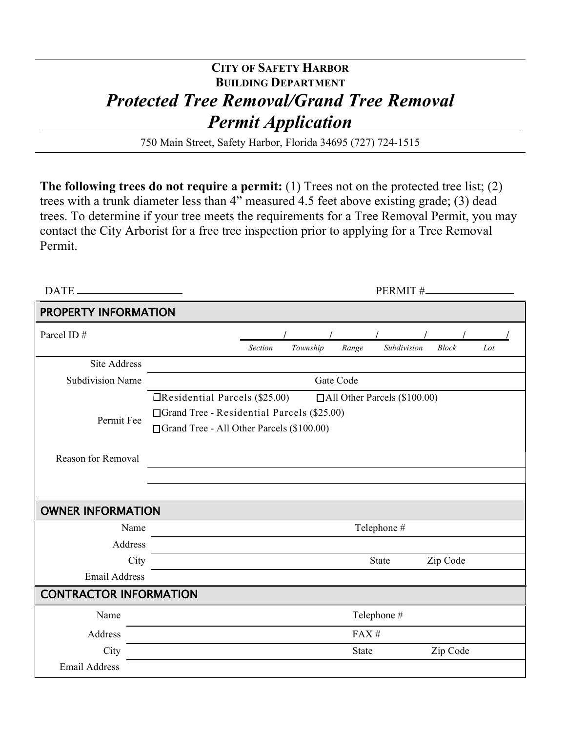# **CITY OF SAFETY HARBOR BUILDING DEPARTMENT** *Protected Tree Removal/Grand Tree Removal Permit Application*

750 Main Street, Safety Harbor, Florida 34695 (727) 724-1515

**The following trees do not require a permit:** (1) Trees not on the protected tree list; (2) trees with a trunk diameter less than 4" measured 4.5 feet above existing grade; (3) dead trees. To determine if your tree meets the requirements for a Tree Removal Permit, you may contact the City Arborist for a free tree inspection prior to applying for a Tree Removal Permit.

| DATE.                         | PERMIT#_                                                                  |
|-------------------------------|---------------------------------------------------------------------------|
| PROPERTY INFORMATION          |                                                                           |
| Parcel ID#                    |                                                                           |
|                               | Subdivision<br><b>Section</b><br>Township<br>Range<br><b>Block</b><br>Lot |
| <b>Site Address</b>           |                                                                           |
| <b>Subdivision Name</b>       | Gate Code                                                                 |
|                               | <b>Exercise 1</b> Parcels (\$25.00)<br>□All Other Parcels (\$100.00)      |
|                               | □ Grand Tree - Residential Parcels (\$25.00)                              |
| Permit Fee                    | □ Grand Tree - All Other Parcels (\$100.00)                               |
|                               |                                                                           |
| Reason for Removal            |                                                                           |
|                               |                                                                           |
|                               |                                                                           |
| <b>OWNER INFORMATION</b>      |                                                                           |
| Name                          | Telephone #                                                               |
| Address                       |                                                                           |
| City                          | Zip Code<br>State                                                         |
| <b>Email Address</b>          |                                                                           |
| <b>CONTRACTOR INFORMATION</b> |                                                                           |
| Name                          | Telephone #                                                               |
| Address                       | FAX#                                                                      |
| City                          | Zip Code<br><b>State</b>                                                  |
| <b>Email Address</b>          |                                                                           |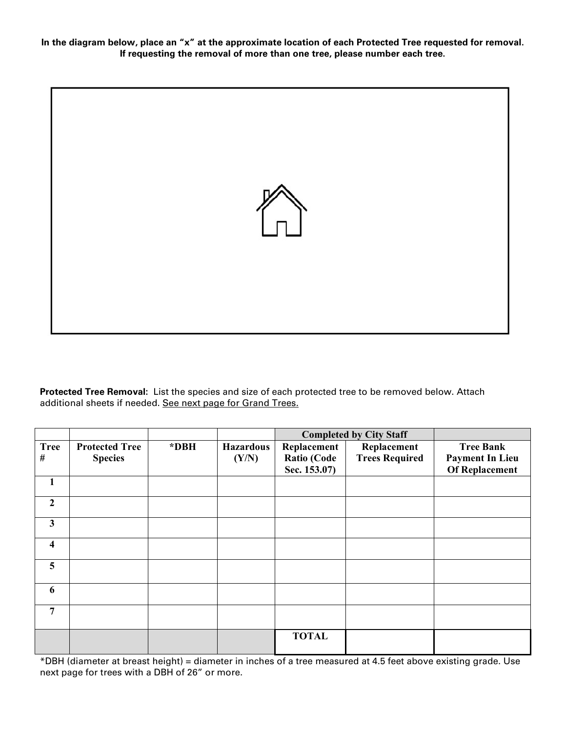**In the diagram below, place an "x" at the approximate location of each Protected Tree requested for removal. If requesting the removal of more than one tree, please number each tree.** 



**Protected Tree Removal:** List the species and size of each protected tree to be removed below. Attach additional sheets if needed. See next page for Grand Trees.

|                         |                       |      |                  | <b>Completed by City Staff</b> |                       |                        |
|-------------------------|-----------------------|------|------------------|--------------------------------|-----------------------|------------------------|
| <b>Tree</b>             | <b>Protected Tree</b> | *DBH | <b>Hazardous</b> | Replacement                    | Replacement           | <b>Tree Bank</b>       |
| #                       | <b>Species</b>        |      | (Y/N)            | Ratio (Code                    | <b>Trees Required</b> | <b>Payment In Lieu</b> |
|                         |                       |      |                  | Sec. 153.07)                   |                       | <b>Of Replacement</b>  |
| 1                       |                       |      |                  |                                |                       |                        |
| $\overline{2}$          |                       |      |                  |                                |                       |                        |
| $\mathbf{3}$            |                       |      |                  |                                |                       |                        |
| $\overline{\mathbf{4}}$ |                       |      |                  |                                |                       |                        |
| 5                       |                       |      |                  |                                |                       |                        |
| 6                       |                       |      |                  |                                |                       |                        |
| 7                       |                       |      |                  |                                |                       |                        |
|                         |                       |      |                  | <b>TOTAL</b>                   |                       |                        |

\*DBH (diameter at breast height) = diameter in inches of a tree measured at 4.5 feet above existing grade. Use next page for trees with a DBH of 26" or more.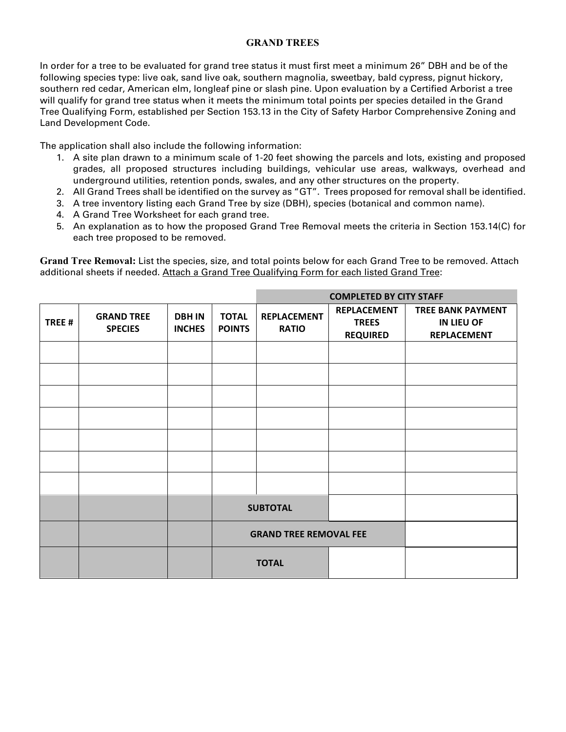#### **GRAND TREES**

In order for a tree to be evaluated for grand tree status it must first meet a minimum 26" DBH and be of the following species type: live oak, sand live oak, southern magnolia, sweetbay, bald cypress, pignut hickory, southern red cedar, American elm, longleaf pine or slash pine. Upon evaluation by a Certified Arborist a tree will qualify for grand tree status when it meets the minimum total points per species detailed in the Grand Tree Qualifying Form, established per Section 153.13 in the City of Safety Harbor Comprehensive Zoning and Land Development Code.

The application shall also include the following information:

- 1. A site plan drawn to a minimum scale of 1-20 feet showing the parcels and lots, existing and proposed grades, all proposed structures including buildings, vehicular use areas, walkways, overhead and underground utilities, retention ponds, swales, and any other structures on the property.
- 2. All Grand Trees shall be identified on the survey as "GT". Trees proposed for removal shall be identified.
- 3. A tree inventory listing each Grand Tree by size (DBH), species (botanical and common name).
- 4. A Grand Tree Worksheet for each grand tree.
- 5. An explanation as to how the proposed Grand Tree Removal meets the criteria in Section 153.14(C) for each tree proposed to be removed.

**Grand Tree Removal:** List the species, size, and total points below for each Grand Tree to be removed. Attach additional sheets if needed. Attach a Grand Tree Qualifying Form for each listed Grand Tree:

|        |                                     |                                |                               |                                    | <b>COMPLETED BY CITY STAFF</b>                        |                                                                     |
|--------|-------------------------------------|--------------------------------|-------------------------------|------------------------------------|-------------------------------------------------------|---------------------------------------------------------------------|
| TREE # | <b>GRAND TREE</b><br><b>SPECIES</b> | <b>DBH IN</b><br><b>INCHES</b> | <b>TOTAL</b><br><b>POINTS</b> | <b>REPLACEMENT</b><br><b>RATIO</b> | <b>REPLACEMENT</b><br><b>TREES</b><br><b>REQUIRED</b> | <b>TREE BANK PAYMENT</b><br><b>IN LIEU OF</b><br><b>REPLACEMENT</b> |
|        |                                     |                                |                               |                                    |                                                       |                                                                     |
|        |                                     |                                |                               |                                    |                                                       |                                                                     |
|        |                                     |                                |                               |                                    |                                                       |                                                                     |
|        |                                     |                                |                               |                                    |                                                       |                                                                     |
|        |                                     |                                |                               |                                    |                                                       |                                                                     |
|        |                                     |                                |                               |                                    |                                                       |                                                                     |
|        |                                     |                                |                               |                                    |                                                       |                                                                     |
|        |                                     |                                |                               | <b>SUBTOTAL</b>                    |                                                       |                                                                     |
|        |                                     |                                |                               | <b>GRAND TREE REMOVAL FEE</b>      |                                                       |                                                                     |
|        |                                     |                                |                               | <b>TOTAL</b>                       |                                                       |                                                                     |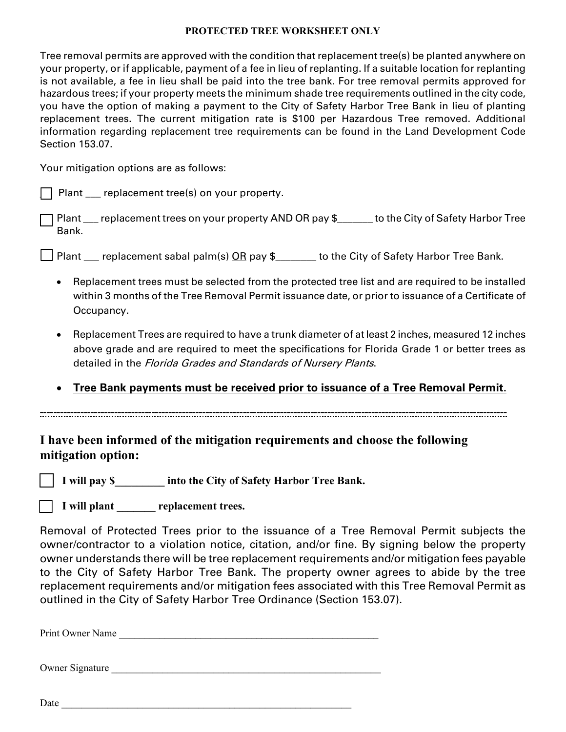#### **PROTECTED TREE WORKSHEET ONLY**

Tree removal permits are approved with the condition that replacement tree(s) be planted anywhere on your property, or if applicable, payment of a fee in lieu of replanting. If a suitable location for replanting is not available, a fee in lieu shall be paid into the tree bank. For tree removal permits approved for hazardous trees; if your property meets the minimum shade tree requirements outlined in the city code, you have the option of making a payment to the City of Safety Harbor Tree Bank in lieu of planting replacement trees. The current mitigation rate is \$100 per Hazardous Tree removed. Additional information regarding replacement tree requirements can be found in the Land Development Code Section 153.07.

Your mitigation options are as follows:

 $\Box$  Plant  $\Box$  replacement tree(s) on your property.

Plant \_\_\_ replacement trees on your property AND OR pay \$\_\_\_\_\_\_\_ to the City of Safety Harbor Tree Bank.

] Plant \_\_\_ replacement sabal palm(s) <u>OR</u> pay \$\_\_\_\_\_\_\_ to the City of Safety Harbor Tree Bank.

- Replacement trees must be selected from the protected tree list and are required to be installed within 3 months of the Tree Removal Permit issuance date, or prior to issuance of a Certificate of Occupancy.
- Replacement Trees are required to have a trunk diameter of at least 2 inches, measured 12 inches above grade and are required to meet the specifications for Florida Grade 1 or better trees as detailed in the Florida Grades and Standards of Nursery Plants.
- **Tree Bank payments must be received prior to issuance of a Tree Removal Permit.**

**------------------------------------------------------------------------------------------------------------------------------------------**

### **I have been informed of the mitigation requirements and choose the following mitigation option:**

 **I will pay \$\_\_\_\_\_\_\_\_\_ into the City of Safety Harbor Tree Bank.** 

I will plant <u>example</u> replacement trees.

Removal of Protected Trees prior to the issuance of a Tree Removal Permit subjects the owner/contractor to a violation notice, citation, and/or fine. By signing below the property owner understands there will be tree replacement requirements and/or mitigation fees payable to the City of Safety Harbor Tree Bank. The property owner agrees to abide by the tree replacement requirements and/or mitigation fees associated with this Tree Removal Permit as outlined in the City of Safety Harbor Tree Ordinance (Section 153.07).

Print Owner Name

Owner Signature \_\_\_\_\_\_\_\_\_\_\_\_\_\_\_\_\_\_\_\_\_\_\_\_\_\_\_\_\_\_\_\_\_\_\_\_\_\_\_\_\_\_\_\_\_\_\_\_\_\_\_\_\_

Date <u>and</u> the set of  $\overline{a}$  and  $\overline{b}$  and  $\overline{c}$  and  $\overline{c}$  and  $\overline{c}$  and  $\overline{c}$  and  $\overline{c}$  and  $\overline{c}$  and  $\overline{c}$  and  $\overline{c}$  and  $\overline{c}$  and  $\overline{c}$  and  $\overline{c}$  and  $\overline{c}$  and  $\overline{c}$  and  $\overline{$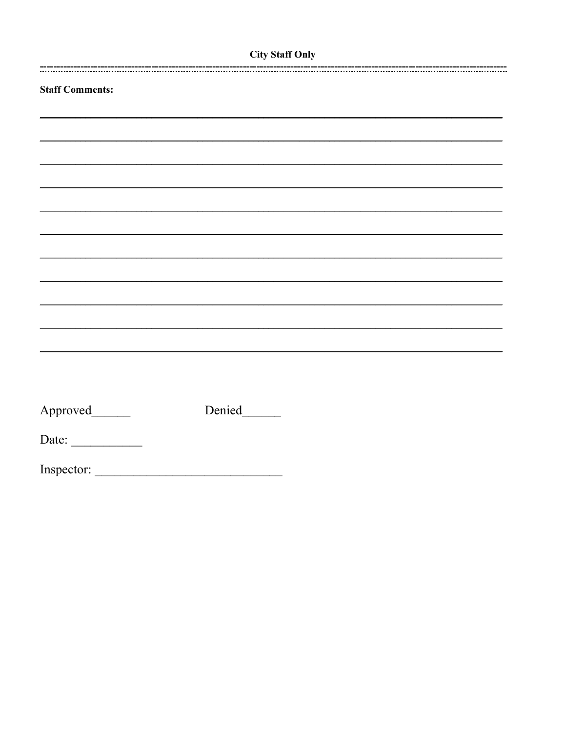## **City Staff Only**

| <b>Staff Comments:</b> |        |  |
|------------------------|--------|--|
|                        |        |  |
|                        |        |  |
|                        |        |  |
|                        |        |  |
|                        |        |  |
|                        |        |  |
|                        |        |  |
|                        |        |  |
|                        |        |  |
|                        |        |  |
|                        |        |  |
|                        |        |  |
|                        |        |  |
|                        |        |  |
|                        | Denied |  |
| Date: $\qquad \qquad$  |        |  |
|                        |        |  |